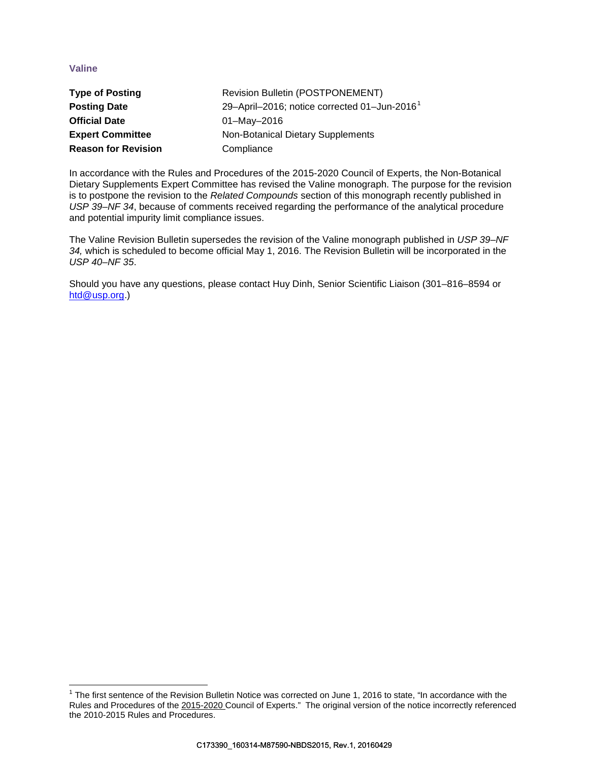# **Valine**

l

| <b>Type of Posting</b>     | <b>Revision Bulletin (POSTPONEMENT)</b>                  |  |
|----------------------------|----------------------------------------------------------|--|
| <b>Posting Date</b>        | 29-April-2016; notice corrected 01-Jun-2016 <sup>1</sup> |  |
| <b>Official Date</b>       | 01-May-2016                                              |  |
| <b>Expert Committee</b>    | Non-Botanical Dietary Supplements                        |  |
| <b>Reason for Revision</b> | Compliance                                               |  |

In accordance with the Rules and Procedures of the 2015-2020 Council of Experts, the Non-Botanical Dietary Supplements Expert Committee has revised the Valine monograph. The purpose for the revision is to postpone the revision to the *Related Compounds* section of this monograph recently published in *USP 39–NF 34*, because of comments received regarding the performance of the analytical procedure and potential impurity limit compliance issues.

The Valine Revision Bulletin supersedes the revision of the Valine monograph published in *USP 39–NF 34,* which is scheduled to become official May 1, 2016. The Revision Bulletin will be incorporated in the *USP 40–NF 35*.

Should you have any questions, please contact Huy Dinh, Senior Scientific Liaison (301–816–8594 or [htd@usp.org.](mailto:htd@usp.org))

<span id="page-0-0"></span> $1$  The first sentence of the Revision Bulletin Notice was corrected on June 1, 2016 to state, "In accordance with the Rules and Procedures of the 2015-2020 Council of Experts." The original version of the notice incorrectly referenced the 2010-2015 Rules and Procedures.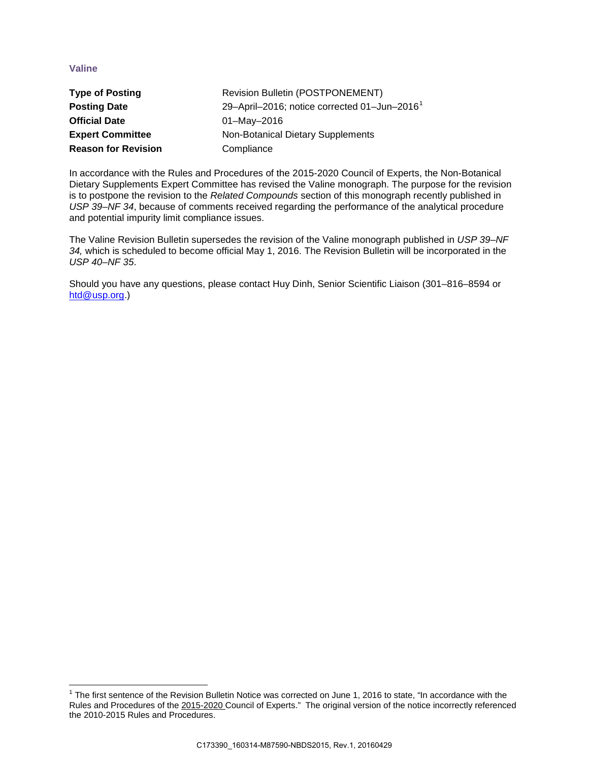# **Valine**

l

| <b>Type of Posting</b>     | <b>Revision Bulletin (POSTPONEMENT)</b>                  |  |  |
|----------------------------|----------------------------------------------------------|--|--|
| <b>Posting Date</b>        | 29-April-2016; notice corrected 01-Jun-2016 <sup>1</sup> |  |  |
| <b>Official Date</b>       | 01-May-2016                                              |  |  |
| <b>Expert Committee</b>    | Non-Botanical Dietary Supplements                        |  |  |
| <b>Reason for Revision</b> | Compliance                                               |  |  |

In accordance with the Rules and Procedures of the 2015-2020 Council of Experts, the Non-Botanical Dietary Supplements Expert Committee has revised the Valine monograph. The purpose for the revision is to postpone the revision to the *Related Compounds* section of this monograph recently published in *USP 39–NF 34*, because of comments received regarding the performance of the analytical procedure and potential impurity limit compliance issues.

The Valine Revision Bulletin supersedes the revision of the Valine monograph published in *USP 39–NF 34,* which is scheduled to become official May 1, 2016. The Revision Bulletin will be incorporated in the *USP 40–NF 35*.

Should you have any questions, please contact Huy Dinh, Senior Scientific Liaison (301–816–8594 or [htd@usp.org.](mailto:htd@usp.org))

<span id="page-1-0"></span> $1$  The first sentence of the Revision Bulletin Notice was corrected on June 1, 2016 to state, "In accordance with the Rules and Procedures of the 2015-2020 Council of Experts." The original version of the notice incorrectly referenced the 2010-2015 Rules and Procedures.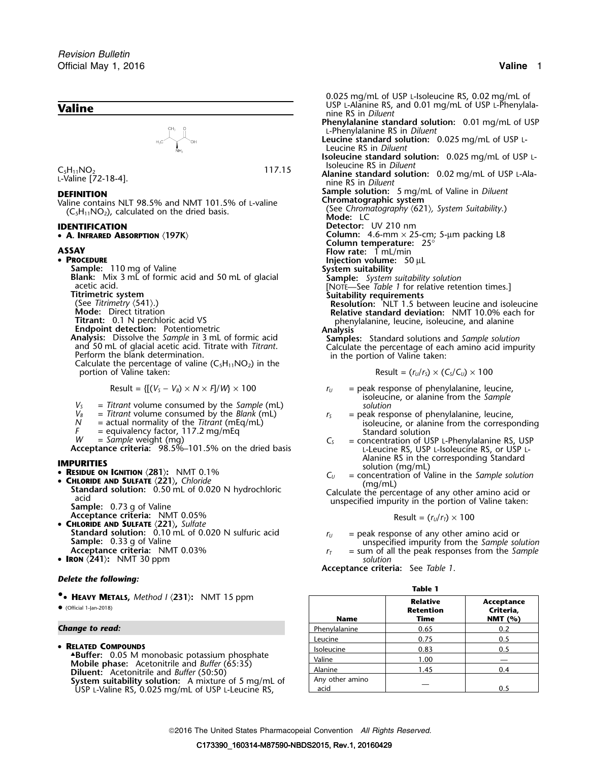

Valine contains NLT 98.5% and NMT 101.5% of L-valine **Chromatographic system**<br>(C-H<sub>12</sub>NO<sub>2)</sub> calculated on the dried basis (See Chromatography (621), System Suitability.) (C<sub>5</sub>H<sub>11</sub>NO<sub>2</sub>), calculated on the dried basis. (See *Chromatography C<sub>5</sub>H<sub>11</sub>NO<sub>2</sub>), calculated on the dried basis. Mode: LC* 

• A. INFRARED ABSORPTION  $\langle 197K \rangle$ 

### • PROCEDURE

- 
- 
- 
- 
- 
- 
- 

- 
- 
- 
- 
- 

- 
- 
- 
- **Acceptance criteria: NMT 0.05%**
- **CHLORIDE AND SULFATE** 〈**221**〉**,** *Sulfate*
- **Standard solution:**  $\dot{0.10}$  mL of 0.020 N sulfuric acid  $\dot{r}_U$  = peak response of any other amino acid or **Sample:** 0.33 g of Valine **Sample Solution Sample:** 0.33 g of Valine **Notion Example Solution Acceptan**
- **IRON** 〈**241**〉**:** NMT 30 ppm *solution*

### *Delete the following:*

### **Change to read:**

*.* 0.025 mg/mL of USP L-Isoleucine RS, 0.02 mg/mL of **Phenylalanine standard solution:** 0.01 mg/mL of USP <sup>L</sup>-Phenylalanine RS in *Diluent* **Leucine standard solution:** 0.025 mg/mL of USP <sup>L</sup>-Leucine RS in *Diluent* **Isoleucine standard solution:** 0.025 mg/mL of USP <sup>L</sup>-Isoleucine RS in *Diluent* <sup>C</sup>5H11NO<sup>2</sup> 117.15 **Alanine standard solution:** 0.02 mg/mL of USP L-Ala- <sup>L</sup>-Valine [72-18-4]. nine RS in *Diluent* **DEFINITION**<br>Valine contains NLT 98.5% and NMT 101.5% of Lyaline **Sample solution:** 5 mg/mL of Valine in *Diluent*<br>Chromatographic system **IDENTIFICATION Detector:** UV 210 nm **<sup>A</sup>. INFRARED ABSORPTION** 〈**197K**〉 **Column:** 4.6-mm × 25-cm; 5-µm packing L8 **Column temperature:** 25° **ASSAY Flow rate:**<sup>1</sup> mL/min **PROCEDURE**<br> **PROCEDURE I P** IO mg of Valine **Injection volume:** 50 µL<br> **System suitability Sample:** 110 mg of Valine<br> **Blank:** Mix 3 mL of formic acid and 50 mL of glacial<br>
acetic acid.<br>
Titrimetric system<br>
(See Titrimetry (541).)<br>
(See Titrimetry (541).)<br>
(See Titrimetry (541).) **Mode:** Direct titration **Resolution:** NLT 1.5 between leucine and isoleucine in Mode: Direct titration **Relative standard deviation:** NMT 10.0% each for Fitrant: 0.1 N perchloric acid VS<br> **Endpoint detection:** Potentiometric<br> **Endpoint detection:** Potentiometric<br> **Analysis:** Dissolve the *Sample* in 3 mL of formic acid<br>
and 50 mL of glacial acetic acid. Titrate with *Titr*  $\text{Result} = (r_U/r_S) \times (C_S/C_U) \times 100$ Result =  ${[(V_s - V_s) \times N \times F]/W} \times 100$  *r<sub>U</sub>* = peak response of phenylalanine, leucine,  $V_s$  = Titrant volume consumed by the *Sample* (mL) isoleucine, or alanine from the *Sample*<br>  $V_s$  = Titrant volume consumed by the *Blank* (mL)  $V_s$  = peak response of phenylalanine, leucine,

- $V_B$  = Titrant volume consumed by the Blank (mL)<br>  $N$  = actual normality of the Titrant (mEq/mL)<br>  $V =$  actual normality of the Titrant (mEq/mL)<br>  $V =$  equivalency factor, 117.2 mg/mEq<br>  $W =$  Sample weight (mg)<br>  $V =$  Sample
- *W* = *Sample* weight (mg)<br>**Acceptance criteria:** 98.5%–101.5% on the dried basis Leucine RS, USP L-Isoleucine RS, or USP L-**IMPURITIES**<br> **Alanine RS in the corresponding Standard**<br> **RESIDUE ON IGNITION** (281): NMT 0.1% <br>  $C_U$  = concentration of Valine in the Sample solution
	- **RESIDUE ON IGNITION** (281): NMT 0.1%  $C_U$  = concentration of Valine in the *Sample solution*<br> **C** = concentration of Valine in the *Sample solution*<br>
	(mg/mL)

Standard solution: 0.50 mL of 0.020 N hydrochloric<br>acid cacid contract the percentage of any other amino acid or<br>Sample: 0.73 g of Valine

$$
Result = (r_U/r_T) \times 100
$$

- 
- 
- **Acceptance criteria:** See *Table 1*.

## **Table 1**

|                 | <b>Relative</b><br><b>Retention</b>  | Acceptance<br>Criteria,<br>NMT $(% )$ |
|-----------------|--------------------------------------|---------------------------------------|
| Phenylalanine   | 0.65                                 | 0.2                                   |
| Leucine         | 0.75                                 | 0.5                                   |
|                 | 0.83                                 | 0.5                                   |
|                 |                                      |                                       |
| Alanine         | 1.45                                 | 0.4                                   |
| Any other amino |                                      | 0.5                                   |
|                 | Name<br>Isoleucine<br>Valine<br>acid | Time<br>1.00                          |

2016 The United States Pharmacopeial Convention *All Rights Reserved.*